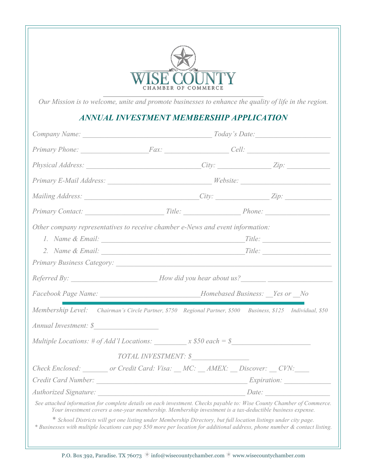

*Our Mission is to welcome, unite and promote businesses to enhance the quality of life in the region.*

## *ANNUAL INVESTMENT MEMBERSHIP APPLICATION*

|                                                                                         |                      |  | Company Name: Today's Date:                                                                                                                                                                                                                                                                                                                           |  |  |
|-----------------------------------------------------------------------------------------|----------------------|--|-------------------------------------------------------------------------------------------------------------------------------------------------------------------------------------------------------------------------------------------------------------------------------------------------------------------------------------------------------|--|--|
|                                                                                         |                      |  | Primary Phone: Fax: Fax: Cell: Cell:                                                                                                                                                                                                                                                                                                                  |  |  |
|                                                                                         |                      |  |                                                                                                                                                                                                                                                                                                                                                       |  |  |
|                                                                                         |                      |  | Primary E-Mail Address: __________________________________Website: ______________                                                                                                                                                                                                                                                                     |  |  |
|                                                                                         |                      |  |                                                                                                                                                                                                                                                                                                                                                       |  |  |
|                                                                                         |                      |  |                                                                                                                                                                                                                                                                                                                                                       |  |  |
| Other company representatives to receive chamber e-News and event information:          |                      |  |                                                                                                                                                                                                                                                                                                                                                       |  |  |
|                                                                                         |                      |  | Title:                                                                                                                                                                                                                                                                                                                                                |  |  |
|                                                                                         |                      |  |                                                                                                                                                                                                                                                                                                                                                       |  |  |
|                                                                                         |                      |  |                                                                                                                                                                                                                                                                                                                                                       |  |  |
|                                                                                         |                      |  |                                                                                                                                                                                                                                                                                                                                                       |  |  |
| Facebook Page Name: __________________________________Homebased Business: __Yes or __No |                      |  |                                                                                                                                                                                                                                                                                                                                                       |  |  |
|                                                                                         |                      |  | Membership Level: Chairman's Circle Partner, \$750 Regional Partner, \$500 Business, \$125 Individual, \$50                                                                                                                                                                                                                                           |  |  |
| Annual Investment: \$                                                                   |                      |  |                                                                                                                                                                                                                                                                                                                                                       |  |  |
| Multiple Locations: # of Add'l Locations: $x$ \$50 each = \$                            |                      |  |                                                                                                                                                                                                                                                                                                                                                       |  |  |
|                                                                                         | TOTAL INVESTMENT: \$ |  |                                                                                                                                                                                                                                                                                                                                                       |  |  |
| Check Enclosed: ________ or Credit Card: Visa: __MC: __AMEX: __Discover: __CVN: ___     |                      |  |                                                                                                                                                                                                                                                                                                                                                       |  |  |
|                                                                                         |                      |  |                                                                                                                                                                                                                                                                                                                                                       |  |  |
|                                                                                         |                      |  |                                                                                                                                                                                                                                                                                                                                                       |  |  |
|                                                                                         |                      |  | See attached information for complete details on each investment. Checks payable to: Wise County Chamber of Commerce.<br>Your investment covers a one-year membership. Membership investment is a tax-deductible business expense.<br>* School Districts will get one listing under Membership Directory, but full location listings under city page. |  |  |

*\* Businesses with multiple locations can pay \$50 more per location for additional address, phone number & contact listing.*